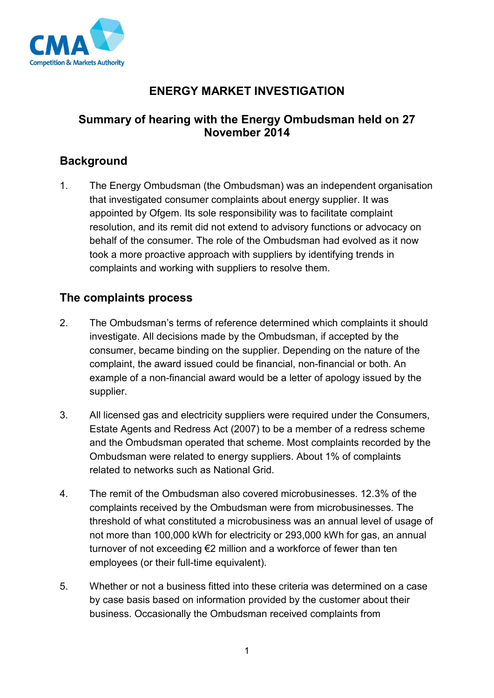

# **ENERGY MARKET INVESTIGATION**

# **Summary of hearing with the Energy Ombudsman held on 27 November 2014**

# **Background**

1. The Energy Ombudsman (the Ombudsman) was an independent organisation that investigated consumer complaints about energy supplier. It was appointed by Ofgem. Its sole responsibility was to facilitate complaint resolution, and its remit did not extend to advisory functions or advocacy on behalf of the consumer. The role of the Ombudsman had evolved as it now took a more proactive approach with suppliers by identifying trends in complaints and working with suppliers to resolve them.

#### **The complaints process**

- 2. The Ombudsman's terms of reference determined which complaints it should investigate. All decisions made by the Ombudsman, if accepted by the consumer, became binding on the supplier. Depending on the nature of the complaint, the award issued could be financial, non-financial or both. An example of a non-financial award would be a letter of apology issued by the supplier.
- 3. All licensed gas and electricity suppliers were required under the Consumers, Estate Agents and Redress Act (2007) to be a member of a redress scheme and the Ombudsman operated that scheme. Most complaints recorded by the Ombudsman were related to energy suppliers. About 1% of complaints related to networks such as National Grid.
- 4. The remit of the Ombudsman also covered microbusinesses. 12.3% of the complaints received by the Ombudsman were from microbusinesses. The threshold of what constituted a microbusiness was an annual level of usage of not more than 100,000 kWh for electricity or 293,000 kWh for gas, an annual turnover of not exceeding €2 million and a workforce of fewer than ten employees (or their full-time equivalent).
- 5. Whether or not a business fitted into these criteria was determined on a case by case basis based on information provided by the customer about their business. Occasionally the Ombudsman received complaints from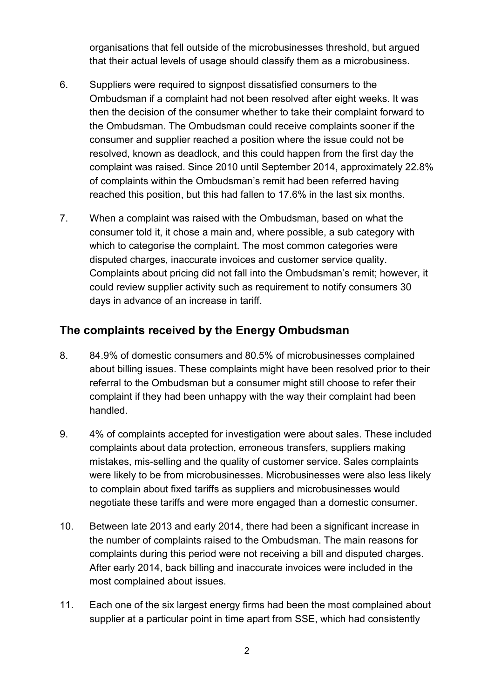organisations that fell outside of the microbusinesses threshold, but argued that their actual levels of usage should classify them as a microbusiness.

- 6. Suppliers were required to signpost dissatisfied consumers to the Ombudsman if a complaint had not been resolved after eight weeks. It was then the decision of the consumer whether to take their complaint forward to the Ombudsman. The Ombudsman could receive complaints sooner if the consumer and supplier reached a position where the issue could not be resolved, known as deadlock, and this could happen from the first day the complaint was raised. Since 2010 until September 2014, approximately 22.8% of complaints within the Ombudsman's remit had been referred having reached this position, but this had fallen to 17.6% in the last six months.
- 7. When a complaint was raised with the Ombudsman, based on what the consumer told it, it chose a main and, where possible, a sub category with which to categorise the complaint. The most common categories were disputed charges, inaccurate invoices and customer service quality. Complaints about pricing did not fall into the Ombudsman's remit; however, it could review supplier activity such as requirement to notify consumers 30 days in advance of an increase in tariff.

## **The complaints received by the Energy Ombudsman**

- 8. 84.9% of domestic consumers and 80.5% of microbusinesses complained about billing issues. These complaints might have been resolved prior to their referral to the Ombudsman but a consumer might still choose to refer their complaint if they had been unhappy with the way their complaint had been handled.
- 9. 4% of complaints accepted for investigation were about sales. These included complaints about data protection, erroneous transfers, suppliers making mistakes, mis-selling and the quality of customer service. Sales complaints were likely to be from microbusinesses. Microbusinesses were also less likely to complain about fixed tariffs as suppliers and microbusinesses would negotiate these tariffs and were more engaged than a domestic consumer.
- 10. Between late 2013 and early 2014, there had been a significant increase in the number of complaints raised to the Ombudsman. The main reasons for complaints during this period were not receiving a bill and disputed charges. After early 2014, back billing and inaccurate invoices were included in the most complained about issues.
- 11. Each one of the six largest energy firms had been the most complained about supplier at a particular point in time apart from SSE, which had consistently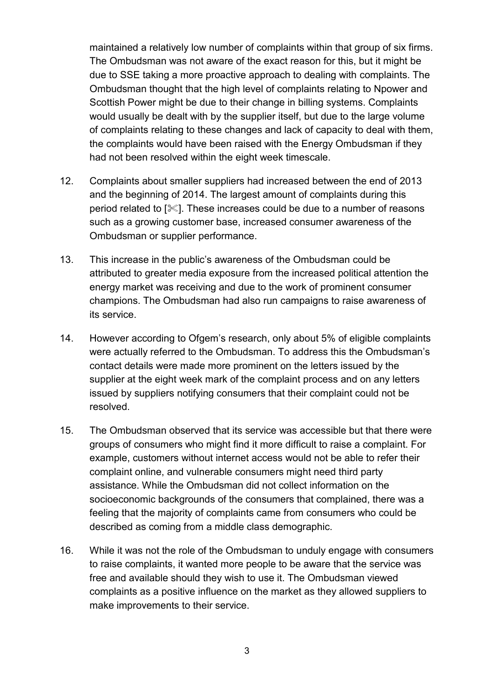maintained a relatively low number of complaints within that group of six firms. The Ombudsman was not aware of the exact reason for this, but it might be due to SSE taking a more proactive approach to dealing with complaints. The Ombudsman thought that the high level of complaints relating to Npower and Scottish Power might be due to their change in billing systems. Complaints would usually be dealt with by the supplier itself, but due to the large volume of complaints relating to these changes and lack of capacity to deal with them, the complaints would have been raised with the Energy Ombudsman if they had not been resolved within the eight week timescale.

- 12. Complaints about smaller suppliers had increased between the end of 2013 and the beginning of 2014. The largest amount of complaints during this period related to [ $\mathscr{K}$ ]. These increases could be due to a number of reasons such as a growing customer base, increased consumer awareness of the Ombudsman or supplier performance.
- 13. This increase in the public's awareness of the Ombudsman could be attributed to greater media exposure from the increased political attention the energy market was receiving and due to the work of prominent consumer champions. The Ombudsman had also run campaigns to raise awareness of its service.
- 14. However according to Ofgem's research, only about 5% of eligible complaints were actually referred to the Ombudsman. To address this the Ombudsman's contact details were made more prominent on the letters issued by the supplier at the eight week mark of the complaint process and on any letters issued by suppliers notifying consumers that their complaint could not be resolved.
- 15. The Ombudsman observed that its service was accessible but that there were groups of consumers who might find it more difficult to raise a complaint. For example, customers without internet access would not be able to refer their complaint online, and vulnerable consumers might need third party assistance. While the Ombudsman did not collect information on the socioeconomic backgrounds of the consumers that complained, there was a feeling that the majority of complaints came from consumers who could be described as coming from a middle class demographic.
- 16. While it was not the role of the Ombudsman to unduly engage with consumers to raise complaints, it wanted more people to be aware that the service was free and available should they wish to use it. The Ombudsman viewed complaints as a positive influence on the market as they allowed suppliers to make improvements to their service.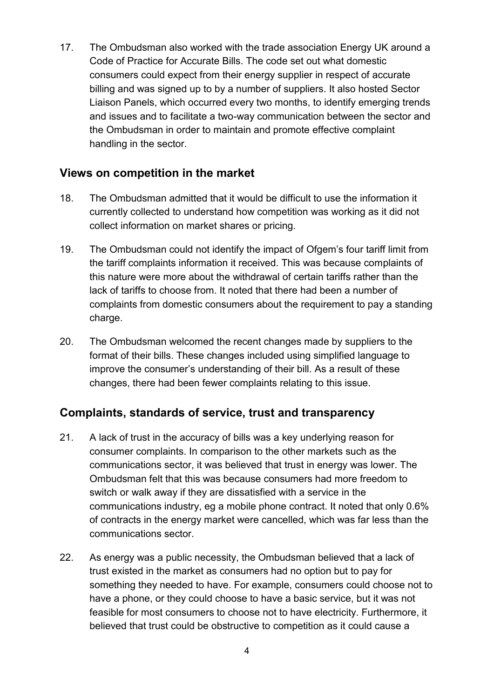17. The Ombudsman also worked with the trade association Energy UK around a Code of Practice for Accurate Bills. The code set out what domestic consumers could expect from their energy supplier in respect of accurate billing and was signed up to by a number of suppliers. It also hosted Sector Liaison Panels, which occurred every two months, to identify emerging trends and issues and to facilitate a two-way communication between the sector and the Ombudsman in order to maintain and promote effective complaint handling in the sector.

#### **Views on competition in the market**

- 18. The Ombudsman admitted that it would be difficult to use the information it currently collected to understand how competition was working as it did not collect information on market shares or pricing.
- 19. The Ombudsman could not identify the impact of Ofgem's four tariff limit from the tariff complaints information it received. This was because complaints of this nature were more about the withdrawal of certain tariffs rather than the lack of tariffs to choose from. It noted that there had been a number of complaints from domestic consumers about the requirement to pay a standing charge.
- 20. The Ombudsman welcomed the recent changes made by suppliers to the format of their bills. These changes included using simplified language to improve the consumer's understanding of their bill. As a result of these changes, there had been fewer complaints relating to this issue.

## **Complaints, standards of service, trust and transparency**

- 21. A lack of trust in the accuracy of bills was a key underlying reason for consumer complaints. In comparison to the other markets such as the communications sector, it was believed that trust in energy was lower. The Ombudsman felt that this was because consumers had more freedom to switch or walk away if they are dissatisfied with a service in the communications industry, eg a mobile phone contract. It noted that only 0.6% of contracts in the energy market were cancelled, which was far less than the communications sector.
- 22. As energy was a public necessity, the Ombudsman believed that a lack of trust existed in the market as consumers had no option but to pay for something they needed to have. For example, consumers could choose not to have a phone, or they could choose to have a basic service, but it was not feasible for most consumers to choose not to have electricity. Furthermore, it believed that trust could be obstructive to competition as it could cause a